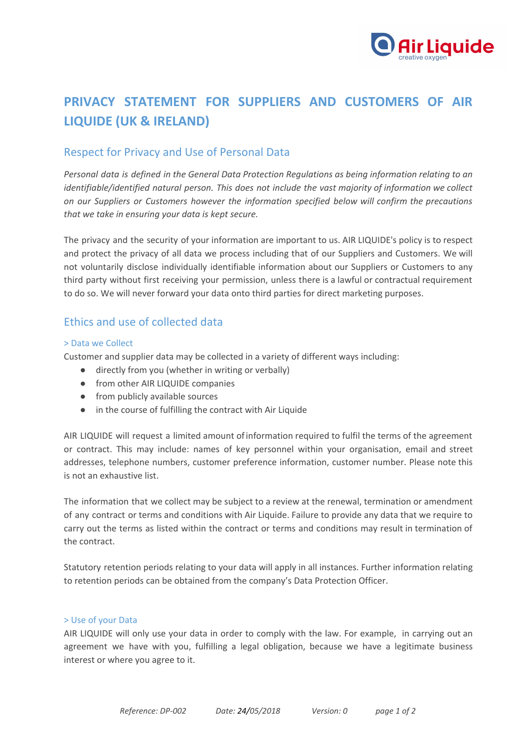

# **PRIVACY STATEMENT FOR SUPPLIERS AND CUSTOMERS OF AIR LIQUIDE (UK & IRELAND)**

# Respect for Privacy and Use of Personal Data

*Personal data is defined in the General Data Protection Regulations as being information relating to an identifiable/identified natural person. This does not include the vast majority of information we collect on our Suppliers or Customers however the information specified below will confirm the precautions that we take in ensuring your data is kept secure.*

The privacy and the security of your information are important to us. AIR LIQUIDE's policy is to respect and protect the privacy of all data we process including that of our Suppliers and Customers. We will not voluntarily disclose individually identifiable information about our Suppliers or Customers to any third party without first receiving your permission, unless there is a lawful or contractual requirement to do so. We will never forward your data onto third parties for direct marketing purposes.

### Ethics and use of collected data

#### > Data we Collect

Customer and supplier data may be collected in a variety of different ways including:

- directly from you (whether in writing or verbally)
- from other AIR LIQUIDE companies
- from publicly available sources
- in the course of fulfilling the contract with Air Liquide

AIR LIQUIDE will request a limited amount of information required to fulfil the terms of the agreement or contract. This may include: names of key personnel within your organisation, email and street addresses, telephone numbers, customer preference information, customer number. Please note this is not an exhaustive list.

The information that we collect may be subject to a review at the renewal, termination or amendment of any contract or terms and conditions with Air Liquide. Failure to provide any data that we require to carry out the terms as listed within the contract or terms and conditions may result in termination of the contract.

Statutory retention periods relating to your data will apply in all instances. Further information relating to retention periods can be obtained from the company's Data Protection Officer.

#### > Use of your Data

AIR LIQUIDE will only use your data in order to comply with the law. For example, in carrying out an agreement we have with you, fulfilling a legal obligation, because we have a legitimate business interest or where you agree to it.